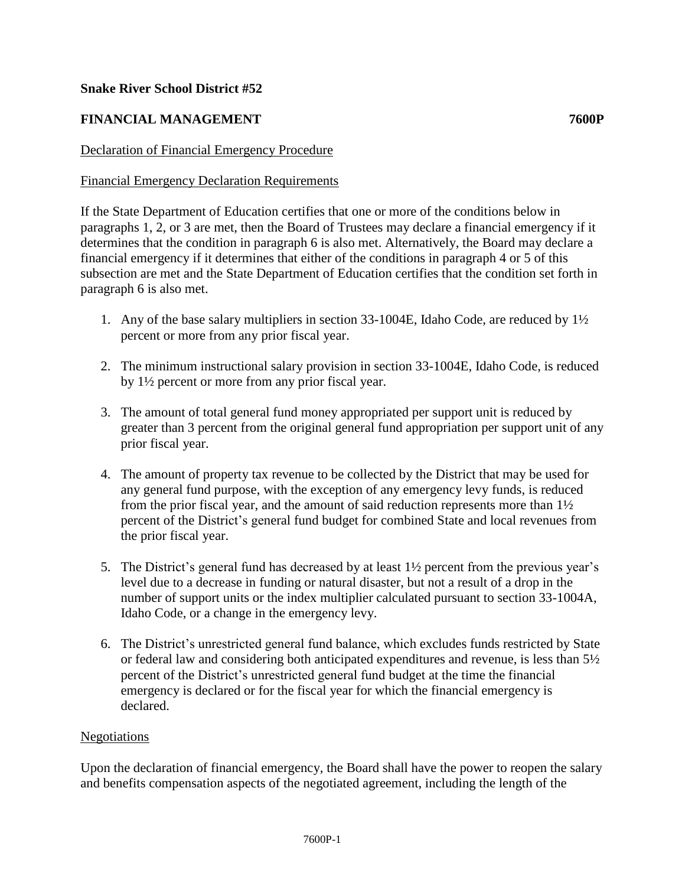### **Snake River School District #52**

# **FINANCIAL MANAGEMENT 7600P**

## Declaration of Financial Emergency Procedure

### Financial Emergency Declaration Requirements

If the State Department of Education certifies that one or more of the conditions below in paragraphs 1, 2, or 3 are met, then the Board of Trustees may declare a financial emergency if it determines that the condition in paragraph 6 is also met. Alternatively, the Board may declare a financial emergency if it determines that either of the conditions in paragraph 4 or 5 of this subsection are met and the State Department of Education certifies that the condition set forth in paragraph 6 is also met.

- 1. Any of the base salary multipliers in section 33-1004E, Idaho Code, are reduced by 1½ percent or more from any prior fiscal year.
- 2. The minimum instructional salary provision in section 33-1004E, Idaho Code, is reduced by 1½ percent or more from any prior fiscal year.
- 3. The amount of total general fund money appropriated per support unit is reduced by greater than 3 percent from the original general fund appropriation per support unit of any prior fiscal year.
- 4. The amount of property tax revenue to be collected by the District that may be used for any general fund purpose, with the exception of any emergency levy funds, is reduced from the prior fiscal year, and the amount of said reduction represents more than 1½ percent of the District's general fund budget for combined State and local revenues from the prior fiscal year.
- 5. The District's general fund has decreased by at least 1½ percent from the previous year's level due to a decrease in funding or natural disaster, but not a result of a drop in the number of support units or the index multiplier calculated pursuant to section 33-1004A, Idaho Code, or a change in the emergency levy.
- 6. The District's unrestricted general fund balance, which excludes funds restricted by State or federal law and considering both anticipated expenditures and revenue, is less than  $5\frac{1}{2}$ percent of the District's unrestricted general fund budget at the time the financial emergency is declared or for the fiscal year for which the financial emergency is declared.

### Negotiations

Upon the declaration of financial emergency, the Board shall have the power to reopen the salary and benefits compensation aspects of the negotiated agreement, including the length of the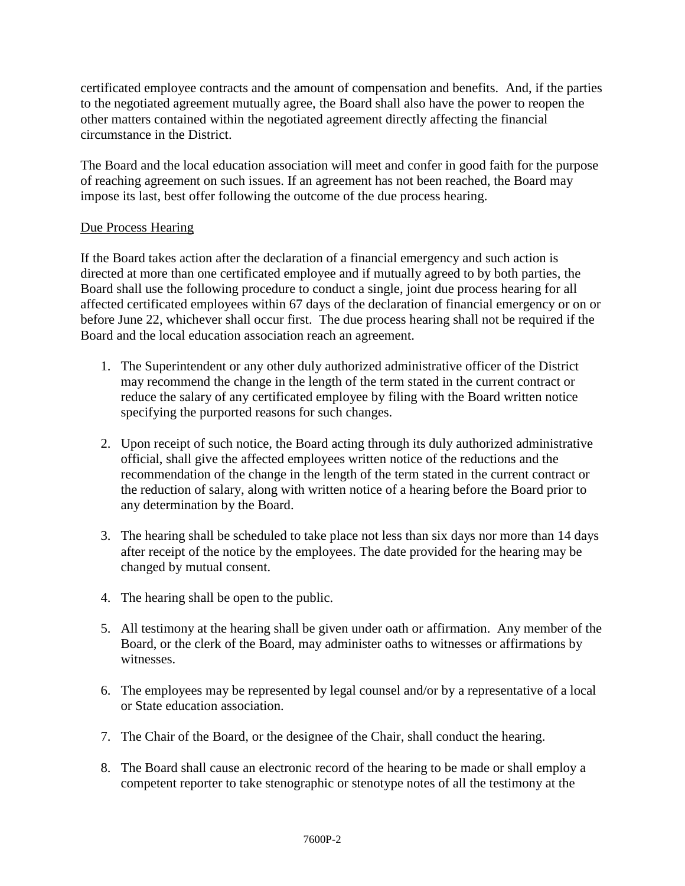certificated employee contracts and the amount of compensation and benefits. And, if the parties to the negotiated agreement mutually agree, the Board shall also have the power to reopen the other matters contained within the negotiated agreement directly affecting the financial circumstance in the District.

The Board and the local education association will meet and confer in good faith for the purpose of reaching agreement on such issues. If an agreement has not been reached, the Board may impose its last, best offer following the outcome of the due process hearing.

### Due Process Hearing

If the Board takes action after the declaration of a financial emergency and such action is directed at more than one certificated employee and if mutually agreed to by both parties, the Board shall use the following procedure to conduct a single, joint due process hearing for all affected certificated employees within 67 days of the declaration of financial emergency or on or before June 22, whichever shall occur first. The due process hearing shall not be required if the Board and the local education association reach an agreement.

- 1. The Superintendent or any other duly authorized administrative officer of the District may recommend the change in the length of the term stated in the current contract or reduce the salary of any certificated employee by filing with the Board written notice specifying the purported reasons for such changes.
- 2. Upon receipt of such notice, the Board acting through its duly authorized administrative official, shall give the affected employees written notice of the reductions and the recommendation of the change in the length of the term stated in the current contract or the reduction of salary, along with written notice of a hearing before the Board prior to any determination by the Board.
- 3. The hearing shall be scheduled to take place not less than six days nor more than 14 days after receipt of the notice by the employees. The date provided for the hearing may be changed by mutual consent.
- 4. The hearing shall be open to the public.
- 5. All testimony at the hearing shall be given under oath or affirmation. Any member of the Board, or the clerk of the Board, may administer oaths to witnesses or affirmations by witnesses.
- 6. The employees may be represented by legal counsel and/or by a representative of a local or State education association.
- 7. The Chair of the Board, or the designee of the Chair, shall conduct the hearing.
- 8. The Board shall cause an electronic record of the hearing to be made or shall employ a competent reporter to take stenographic or stenotype notes of all the testimony at the